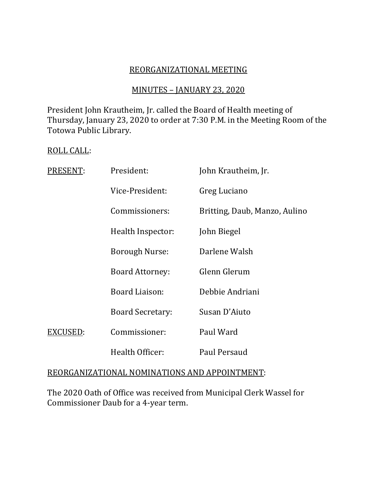# REORGANIZATIONAL MEETING

# MINUTES – JANUARY 23, 2020

President John Krautheim, Jr. called the Board of Health meeting of Thursday, January 23, 2020 to order at 7:30 P.M. in the Meeting Room of the Totowa Public Library.

#### ROLL CALL:

| PRESENT: | President:              | John Krautheim, Jr.           |
|----------|-------------------------|-------------------------------|
|          | Vice-President:         | Greg Luciano                  |
|          | Commissioners:          | Britting, Daub, Manzo, Aulino |
|          | Health Inspector:       | John Biegel                   |
|          | <b>Borough Nurse:</b>   | Darlene Walsh                 |
|          | <b>Board Attorney:</b>  | Glenn Glerum                  |
|          | <b>Board Liaison:</b>   | Debbie Andriani               |
|          | <b>Board Secretary:</b> | Susan D'Aiuto                 |
| EXCUSED: | Commissioner:           | Paul Ward                     |
|          | Health Officer:         | Paul Persaud                  |

### REORGANIZATIONAL NOMINATIONS AND APPOINTMENT:

The 2020 Oath of Office was received from Municipal Clerk Wassel for Commissioner Daub for a 4-year term.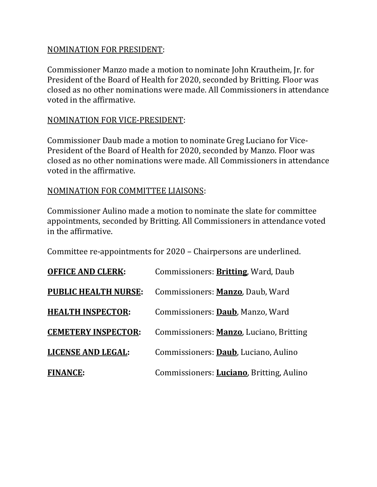# NOMINATION FOR PRESIDENT:

Commissioner Manzo made a motion to nominate John Krautheim, Jr. for President of the Board of Health for 2020, seconded by Britting. Floor was closed as no other nominations were made. All Commissioners in attendance voted in the affirmative.

### NOMINATION FOR VICE-PRESIDENT:

Commissioner Daub made a motion to nominate Greg Luciano for Vice-President of the Board of Health for 2020, seconded by Manzo. Floor was closed as no other nominations were made. All Commissioners in attendance voted in the affirmative.

### NOMINATION FOR COMMITTEE LIAISONS:

Commissioner Aulino made a motion to nominate the slate for committee appointments, seconded by Britting. All Commissioners in attendance voted in the affirmative.

Committee re-appointments for 2020 – Chairpersons are underlined.

| <b>OFFICE AND CLERK:</b>    | Commissioners: <b>Britting</b> , Ward, Daub      |
|-----------------------------|--------------------------------------------------|
| <b>PUBLIC HEALTH NURSE:</b> | Commissioners: Manzo, Daub, Ward                 |
| <b>HEALTH INSPECTOR:</b>    | Commissioners: Daub, Manzo, Ward                 |
| <b>CEMETERY INSPECTOR:</b>  | Commissioners: Manzo, Luciano, Britting          |
| <b>LICENSE AND LEGAL:</b>   | Commissioners: Daub, Luciano, Aulino             |
| <b>FINANCE:</b>             | Commissioners: <b>Luciano</b> , Britting, Aulino |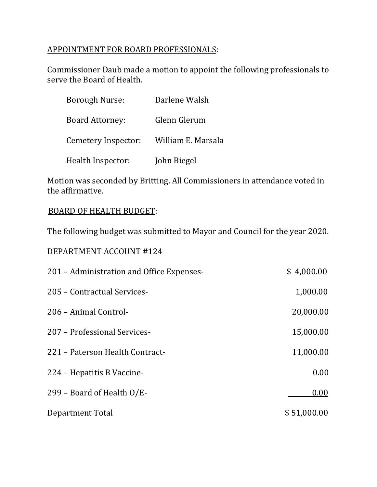# APPOINTMENT FOR BOARD PROFESSIONALS:

Commissioner Daub made a motion to appoint the following professionals to serve the Board of Health.

| <b>Borough Nurse:</b>  | Darlene Walsh      |
|------------------------|--------------------|
| <b>Board Attorney:</b> | Glenn Glerum       |
| Cemetery Inspector:    | William E. Marsala |
| Health Inspector:      | John Biegel        |

Motion was seconded by Britting. All Commissioners in attendance voted in the affirmative.

# BOARD OF HEALTH BUDGET:

The following budget was submitted to Mayor and Council for the year 2020.

# DEPARTMENT ACCOUNT #124

| 201 - Administration and Office Expenses- | \$4,000.00  |
|-------------------------------------------|-------------|
| 205 - Contractual Services-               | 1,000.00    |
| 206 - Animal Control-                     | 20,000.00   |
| 207 - Professional Services-              | 15,000.00   |
| 221 – Paterson Health Contract-           | 11,000.00   |
| 224 – Hepatitis B Vaccine-                | 0.00        |
| 299 – Board of Health O/E-                | 0.00        |
| Department Total                          | \$51,000.00 |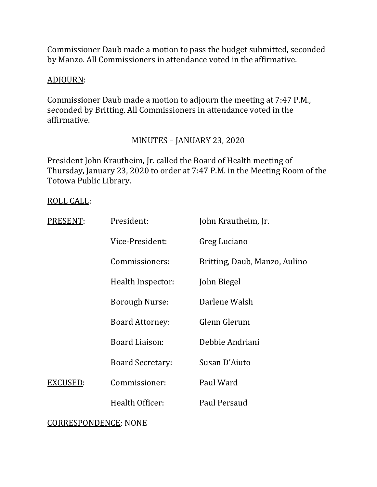Commissioner Daub made a motion to pass the budget submitted, seconded by Manzo. All Commissioners in attendance voted in the affirmative.

# ADJOURN:

Commissioner Daub made a motion to adjourn the meeting at 7:47 P.M., seconded by Britting. All Commissioners in attendance voted in the affirmative.

# MINUTES – JANUARY 23, 2020

President John Krautheim, Jr. called the Board of Health meeting of Thursday, January 23, 2020 to order at 7:47 P.M. in the Meeting Room of the Totowa Public Library.

### ROLL CALL:

| PRESENT: | President:              | John Krautheim, Jr.           |
|----------|-------------------------|-------------------------------|
|          | Vice-President:         | Greg Luciano                  |
|          | Commissioners:          | Britting, Daub, Manzo, Aulino |
|          | Health Inspector:       | John Biegel                   |
|          | <b>Borough Nurse:</b>   | Darlene Walsh                 |
|          | <b>Board Attorney:</b>  | Glenn Glerum                  |
|          | Board Liaison:          | Debbie Andriani               |
|          | <b>Board Secretary:</b> | Susan D'Aiuto                 |
| EXCUSED: | Commissioner:           | Paul Ward                     |
|          | Health Officer:         | Paul Persaud                  |
|          |                         |                               |

### CORRESPONDENCE: NONE